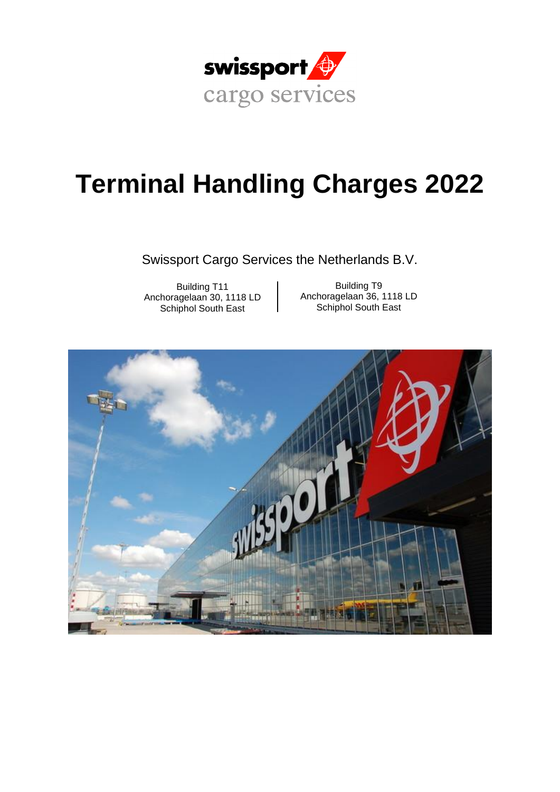

# **Terminal Handling Charges 2022**

Swissport Cargo Services the Netherlands B.V.

Building T11 Anchoragelaan 30, 1118 LD Schiphol South East

Building T9 Anchoragelaan 36, 1118 LD Schiphol South East

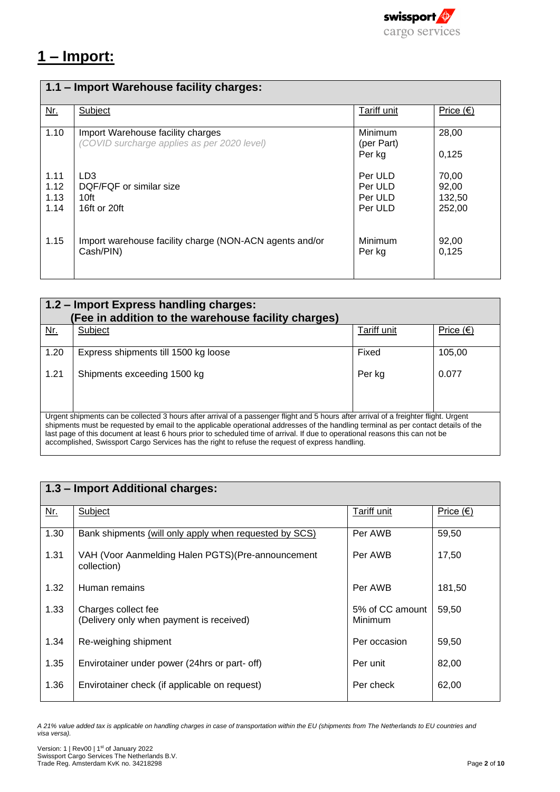

## **1 – Import:**

| 1.1 – Import Warehouse facility charges: |                                                                                  |                                          |                                    |
|------------------------------------------|----------------------------------------------------------------------------------|------------------------------------------|------------------------------------|
| Nr.                                      | Subject                                                                          | Tariff unit                              | Price $(\epsilon)$                 |
| 1.10                                     | Import Warehouse facility charges<br>(COVID surcharge applies as per 2020 level) | Minimum<br>(per Part)<br>Per kg          | 28,00<br>0,125                     |
| 1.11<br>1.12<br>1.13<br>1.14             | LD <sub>3</sub><br>DQF/FQF or similar size<br>10ft<br>16ft or 20ft               | Per ULD<br>Per ULD<br>Per ULD<br>Per ULD | 70,00<br>92,00<br>132,50<br>252,00 |
| 1.15                                     | Import warehouse facility charge (NON-ACN agents and/or<br>Cash/PIN)             | Minimum<br>Per kg                        | 92,00<br>0,125                     |

|                                                                                                                                                                                                                                                                                                                                                                                                                                                                                                                  | 1.2 - Import Express handling charges:<br>(Fee in addition to the warehouse facility charges) |                    |                    |  |
|------------------------------------------------------------------------------------------------------------------------------------------------------------------------------------------------------------------------------------------------------------------------------------------------------------------------------------------------------------------------------------------------------------------------------------------------------------------------------------------------------------------|-----------------------------------------------------------------------------------------------|--------------------|--------------------|--|
| Nr.                                                                                                                                                                                                                                                                                                                                                                                                                                                                                                              | Subject                                                                                       | <b>Tariff unit</b> | Price $(\epsilon)$ |  |
| 1.20                                                                                                                                                                                                                                                                                                                                                                                                                                                                                                             | Express shipments till 1500 kg loose                                                          | Fixed              | 105,00             |  |
| 1.21                                                                                                                                                                                                                                                                                                                                                                                                                                                                                                             | Shipments exceeding 1500 kg                                                                   | Per kg             | 0.077              |  |
| Urgent shipments can be collected 3 hours after arrival of a passenger flight and 5 hours after arrival of a freighter flight. Urgent<br>shipments must be requested by email to the applicable operational addresses of the handling terminal as per contact details of the<br>last page of this document at least 6 hours prior to scheduled time of arrival. If due to operational reasons this can not be<br>accomplished, Swissport Cargo Services has the right to refuse the request of express handling. |                                                                                               |                    |                    |  |

| 1.3 - Import Additional charges: |                                                                   |                            |                  |
|----------------------------------|-------------------------------------------------------------------|----------------------------|------------------|
| Nr.                              | Subject                                                           | <b>Tariff unit</b>         | <u>Price</u> (€) |
| 1.30                             | Bank shipments (will only apply when requested by SCS)            | Per AWB                    | 59,50            |
| 1.31                             | VAH (Voor Aanmelding Halen PGTS) (Pre-announcement<br>collection) | Per AWB                    | 17,50            |
| 1.32                             | Human remains                                                     | Per AWB                    | 181,50           |
| 1.33                             | Charges collect fee<br>(Delivery only when payment is received)   | 5% of CC amount<br>Minimum | 59,50            |
| 1.34                             | Re-weighing shipment                                              | Per occasion               | 59,50            |
| 1.35                             | Envirotainer under power (24hrs or part- off)                     | Per unit                   | 82,00            |
| 1.36                             | Envirotainer check (if applicable on request)                     | Per check                  | 62,00            |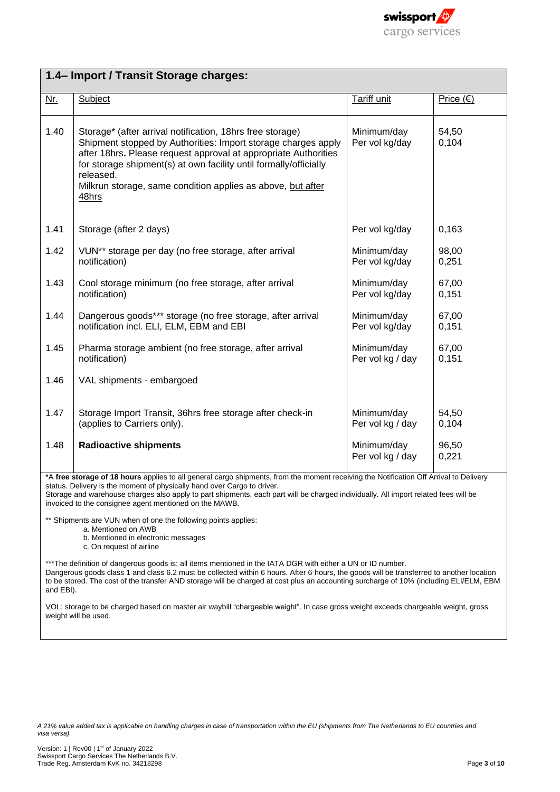

|            | 1.4- Import / Transit Storage charges:                                                                                                                                                                                                                                                                                                                  |                                 |                    |
|------------|---------------------------------------------------------------------------------------------------------------------------------------------------------------------------------------------------------------------------------------------------------------------------------------------------------------------------------------------------------|---------------------------------|--------------------|
| <u>Nr.</u> | Subject                                                                                                                                                                                                                                                                                                                                                 | Tariff unit                     | Price $(\epsilon)$ |
| 1.40       | Storage* (after arrival notification, 18hrs free storage)<br>Shipment stopped by Authorities: Import storage charges apply<br>after 18hrs. Please request approval at appropriate Authorities<br>for storage shipment(s) at own facility until formally/officially<br>released.<br>Milkrun storage, same condition applies as above, but after<br>48hrs | Minimum/day<br>Per vol kg/day   | 54,50<br>0,104     |
| 1.41       | Storage (after 2 days)                                                                                                                                                                                                                                                                                                                                  | Per vol kg/day                  | 0,163              |
| 1.42       | VUN <sup>**</sup> storage per day (no free storage, after arrival<br>notification)                                                                                                                                                                                                                                                                      | Minimum/day<br>Per vol kg/day   | 98,00<br>0,251     |
| 1.43       | Cool storage minimum (no free storage, after arrival<br>notification)                                                                                                                                                                                                                                                                                   | Minimum/day<br>Per vol kg/day   | 67,00<br>0,151     |
| 1.44       | Dangerous goods*** storage (no free storage, after arrival<br>notification incl. ELI, ELM, EBM and EBI                                                                                                                                                                                                                                                  | Minimum/day<br>Per vol kg/day   | 67,00<br>0,151     |
| 1.45       | Pharma storage ambient (no free storage, after arrival<br>notification)                                                                                                                                                                                                                                                                                 | Minimum/day<br>Per vol kg / day | 67,00<br>0,151     |
| 1.46       | VAL shipments - embargoed                                                                                                                                                                                                                                                                                                                               |                                 |                    |
| 1.47       | Storage Import Transit, 36hrs free storage after check-in<br>(applies to Carriers only).                                                                                                                                                                                                                                                                | Minimum/day<br>Per vol kg / day | 54,50<br>0,104     |
| 1.48       | <b>Radioactive shipments</b>                                                                                                                                                                                                                                                                                                                            | Minimum/day<br>Per vol kg / day | 96,50<br>0,221     |

\*A **free storage of 18 hours** applies to all general cargo shipments, from the moment receiving the Notification Off Arrival to Delivery status. Delivery is the moment of physically hand over Cargo to driver.

Storage and warehouse charges also apply to part shipments, each part will be charged individually. All import related fees will be invoiced to the consignee agent mentioned on the MAWB.

\*\* Shipments are VUN when of one the following points applies:

- a. Mentioned on AWB
- b. Mentioned in electronic messages
- c. On request of airline

\*\*\*The definition of dangerous goods is: all items mentioned in the IATA DGR with either a UN or ID number. Dangerous goods class 1 and class 6.2 must be collected within 6 hours. After 6 hours, the goods will be transferred to another location

to be stored. The cost of the transfer AND storage will be charged at cost plus an accounting surcharge of 10% (including ELI/ELM, EBM and EBI).

VOL: storage to be charged based on master air waybill "chargeable weight". In case gross weight exceeds chargeable weight, gross weight will be used.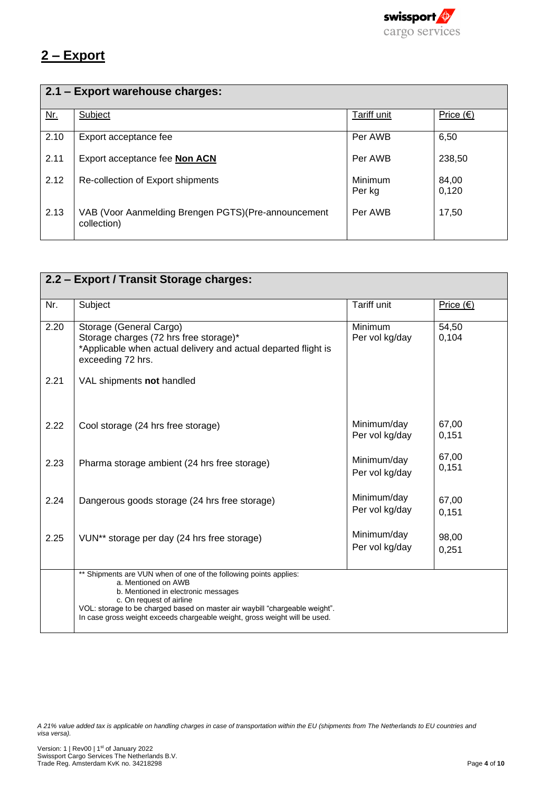

## **2 – Export**

|      | 2.1 - Export warehouse charges:                                     |                   |                  |  |
|------|---------------------------------------------------------------------|-------------------|------------------|--|
| $Mr$ | Subject                                                             | Tariff unit       | <u>Price (€)</u> |  |
| 2.10 | Export acceptance fee                                               | Per AWB           | 6,50             |  |
| 2.11 | Export acceptance fee Non ACN                                       | Per AWB           | 238,50           |  |
| 2.12 | Re-collection of Export shipments                                   | Minimum<br>Per kg | 84,00<br>0,120   |  |
| 2.13 | VAB (Voor Aanmelding Brengen PGTS) (Pre-announcement<br>collection) | Per AWB           | 17,50            |  |

|      | 2.2 - Export / Transit Storage charges:                                                                                                                                                                                                                                                                                  |                               |                |  |
|------|--------------------------------------------------------------------------------------------------------------------------------------------------------------------------------------------------------------------------------------------------------------------------------------------------------------------------|-------------------------------|----------------|--|
| Nr.  | Subject                                                                                                                                                                                                                                                                                                                  | Tariff unit                   | Price $(€)$    |  |
| 2.20 | Storage (General Cargo)<br>Storage charges (72 hrs free storage)*<br>*Applicable when actual delivery and actual departed flight is<br>exceeding 72 hrs.                                                                                                                                                                 | Minimum<br>Per vol kg/day     | 54,50<br>0,104 |  |
| 2.21 | VAL shipments not handled                                                                                                                                                                                                                                                                                                |                               |                |  |
| 2.22 | Cool storage (24 hrs free storage)                                                                                                                                                                                                                                                                                       | Minimum/day<br>Per vol kg/day | 67,00<br>0,151 |  |
| 2.23 | Pharma storage ambient (24 hrs free storage)                                                                                                                                                                                                                                                                             | Minimum/day<br>Per vol kg/day | 67,00<br>0,151 |  |
| 2.24 | Dangerous goods storage (24 hrs free storage)                                                                                                                                                                                                                                                                            | Minimum/day<br>Per vol kg/day | 67,00<br>0,151 |  |
| 2.25 | VUN <sup>**</sup> storage per day (24 hrs free storage)                                                                                                                                                                                                                                                                  | Minimum/day<br>Per vol kg/day | 98,00<br>0,251 |  |
|      | ** Shipments are VUN when of one of the following points applies:<br>a. Mentioned on AWB<br>b. Mentioned in electronic messages<br>c. On request of airline<br>VOL: storage to be charged based on master air waybill "chargeable weight".<br>In case gross weight exceeds chargeable weight, gross weight will be used. |                               |                |  |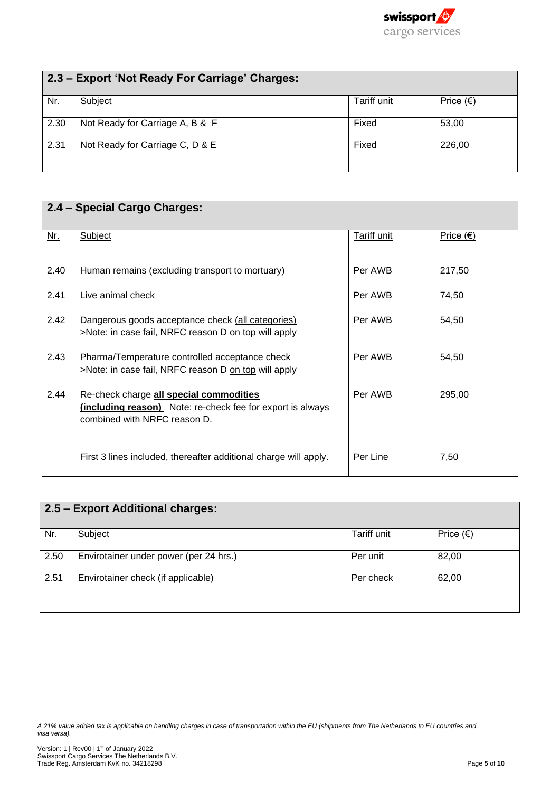

| 2.3 - Export 'Not Ready For Carriage' Charges: |                                 |             |                    |
|------------------------------------------------|---------------------------------|-------------|--------------------|
| <u>Nr.</u>                                     | Subject                         | Tariff unit | Price $(\epsilon)$ |
| 2.30                                           | Not Ready for Carriage A, B & F | Fixed       | 53,00              |
| 2.31                                           | Not Ready for Carriage C, D & E | Fixed       | 226,00             |

|      | 2.4 - Special Cargo Charges:                                                                                                          |                    |                  |
|------|---------------------------------------------------------------------------------------------------------------------------------------|--------------------|------------------|
| Nr.  | Subject                                                                                                                               | <b>Tariff unit</b> | <u>Price (€)</u> |
| 2.40 | Human remains (excluding transport to mortuary)                                                                                       | Per AWB            | 217,50           |
| 2.41 | Live animal check                                                                                                                     | Per AWB            | 74,50            |
| 2.42 | Dangerous goods acceptance check (all categories)<br>>Note: in case fail, NRFC reason D on top will apply                             | Per AWB            | 54,50            |
| 2.43 | Pharma/Temperature controlled acceptance check<br>>Note: in case fail, NRFC reason D on top will apply                                | Per AWB            | 54,50            |
| 2.44 | Re-check charge all special commodities<br>(including reason) Note: re-check fee for export is always<br>combined with NRFC reason D. | Per AWB            | 295,00           |
|      | First 3 lines included, thereafter additional charge will apply.                                                                      | Per Line           | 7,50             |

| 2.5 - Export Additional charges: |                                        |             |                    |
|----------------------------------|----------------------------------------|-------------|--------------------|
| <u>Nr.</u>                       | Subject                                | Tariff unit | Price $(\epsilon)$ |
| 2.50                             | Envirotainer under power (per 24 hrs.) | Per unit    | 82,00              |
| 2.51                             | Envirotainer check (if applicable)     | Per check   | 62,00              |
|                                  |                                        |             |                    |

*A 21% value added tax is applicable on handling charges in case of transportation within the EU (shipments from The Netherlands to EU countries and visa versa).*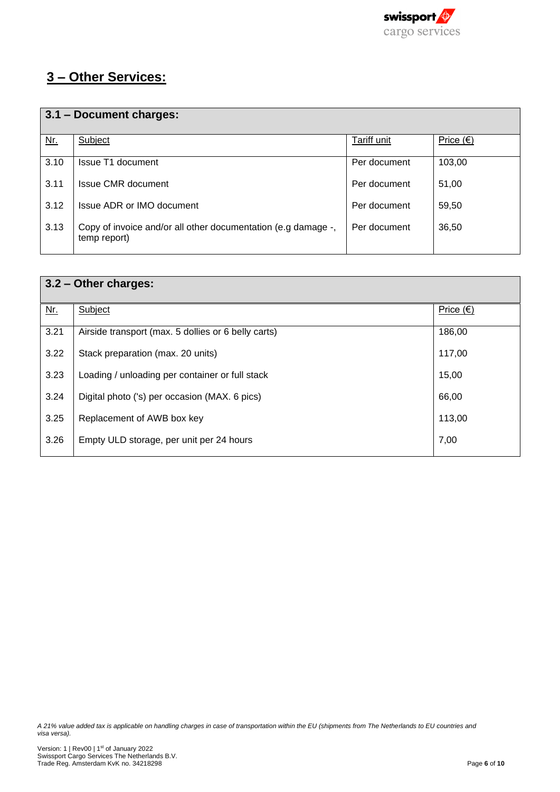

## **3 – Other Services:**

|            | 3.1 - Document charges:                                                       |              |                    |  |
|------------|-------------------------------------------------------------------------------|--------------|--------------------|--|
| <u>Nr.</u> | Subject                                                                       | Tariff unit  | Price $(\epsilon)$ |  |
| 3.10       | Issue T1 document                                                             | Per document | 103,00             |  |
| 3.11       | Issue CMR document                                                            | Per document | 51,00              |  |
| 3.12       | Issue ADR or IMO document                                                     | Per document | 59,50              |  |
| 3.13       | Copy of invoice and/or all other documentation (e.g damage -,<br>temp report) | Per document | 36,50              |  |

|      | 3.2 - Other charges:                                |                    |  |  |
|------|-----------------------------------------------------|--------------------|--|--|
| Nr.  | Subject                                             | Price $(\epsilon)$ |  |  |
| 3.21 | Airside transport (max. 5 dollies or 6 belly carts) | 186,00             |  |  |
| 3.22 | Stack preparation (max. 20 units)                   | 117,00             |  |  |
| 3.23 | Loading / unloading per container or full stack     | 15,00              |  |  |
| 3.24 | Digital photo ('s) per occasion (MAX. 6 pics)       | 66,00              |  |  |
| 3.25 | Replacement of AWB box key                          | 113,00             |  |  |
| 3.26 | Empty ULD storage, per unit per 24 hours            | 7,00               |  |  |

*A 21% value added tax is applicable on handling charges in case of transportation within the EU (shipments from The Netherlands to EU countries and visa versa).*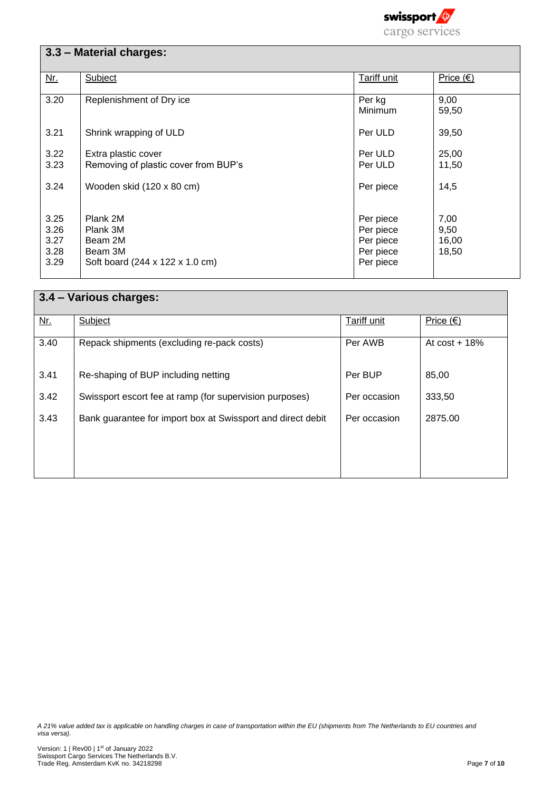

|                                      | 3.3 - Material charges:                                                       |                                                               |                                |
|--------------------------------------|-------------------------------------------------------------------------------|---------------------------------------------------------------|--------------------------------|
| <u>Nr.</u>                           | Subject                                                                       | Tariff unit                                                   | Price $(€)$                    |
| 3.20                                 | Replenishment of Dry ice                                                      | Per kg<br>Minimum                                             | 9,00<br>59,50                  |
| 3.21                                 | Shrink wrapping of ULD                                                        | Per ULD                                                       | 39,50                          |
| 3.22<br>3.23                         | Extra plastic cover<br>Removing of plastic cover from BUP's                   | Per ULD<br>Per ULD                                            | 25,00<br>11,50                 |
| 3.24                                 | Wooden skid (120 x 80 cm)                                                     | Per piece                                                     | 14,5                           |
| 3.25<br>3.26<br>3.27<br>3.28<br>3.29 | Plank 2M<br>Plank 3M<br>Beam 2M<br>Beam 3M<br>Soft board (244 x 122 x 1.0 cm) | Per piece<br>Per piece<br>Per piece<br>Per piece<br>Per piece | 7,00<br>9,50<br>16,00<br>18,50 |

| 3.4 - Various charges: |                                                             |              |                    |
|------------------------|-------------------------------------------------------------|--------------|--------------------|
| $Nr$ .                 | Subject                                                     | Tariff unit  | Price $(\epsilon)$ |
| 3.40                   | Repack shipments (excluding re-pack costs)                  | Per AWB      | At $cost + 18%$    |
| 3.41                   | Re-shaping of BUP including netting                         | Per BUP      | 85,00              |
| 3.42                   | Swissport escort fee at ramp (for supervision purposes)     | Per occasion | 333,50             |
| 3.43                   | Bank guarantee for import box at Swissport and direct debit | Per occasion | 2875.00            |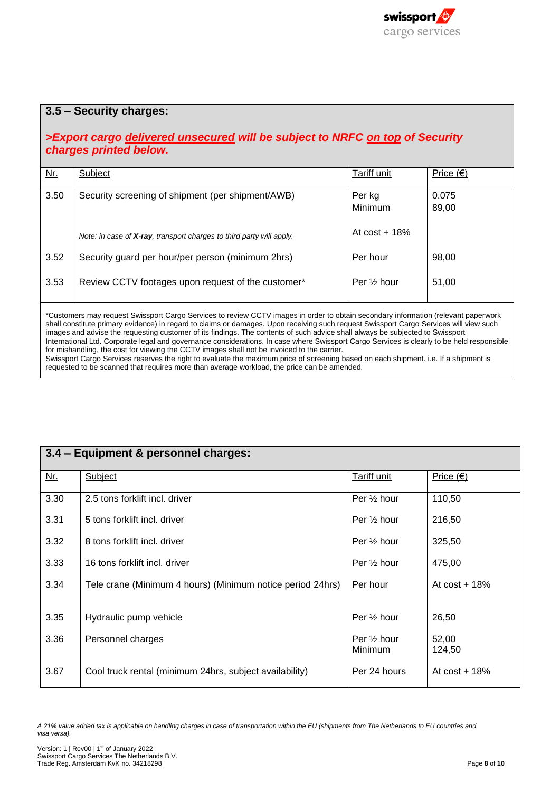

#### **3.5 – Security charges:**

#### *>Export cargo delivered unsecured will be subject to NRFC on top of Security charges printed below.*

| Nr.  | Subject                                                                      | Tariff unit              | Price $(\epsilon)$ |
|------|------------------------------------------------------------------------------|--------------------------|--------------------|
|      |                                                                              |                          |                    |
| 3.50 | Security screening of shipment (per shipment/AWB)                            | Per kg                   | 0.075              |
|      |                                                                              | Minimum                  | 89,00              |
|      | Note: in case of <b>X-ray</b> , transport charges to third party will apply. | At $cost + 18\%$         |                    |
|      |                                                                              |                          |                    |
| 3.52 | Security guard per hour/per person (minimum 2hrs)                            | Per hour                 | 98,00              |
|      |                                                                              |                          |                    |
| 3.53 | Review CCTV footages upon request of the customer*                           | Per 1/ <sub>2</sub> hour | 51,00              |
|      |                                                                              |                          |                    |

\*Customers may request Swissport Cargo Services to review CCTV images in order to obtain secondary information (relevant paperwork shall constitute primary evidence) in regard to claims or damages. Upon receiving such request Swissport Cargo Services will view such images and advise the requesting customer of its findings. The contents of such advice shall always be subjected to Swissport International Ltd. Corporate legal and governance considerations. In case where Swissport Cargo Services is clearly to be held responsible for mishandling, the cost for viewing the CCTV images shall not be invoiced to the carrier. Swissport Cargo Services reserves the right to evaluate the maximum price of screening based on each shipment. i.e. If a shipment is requested to be scanned that requires more than average workload, the price can be amended.

## **3.4 – Equipment & personnel charges:**

| <u>Nr.</u> | Subject                                                    | Tariff unit                       | Price $(\epsilon)$ |
|------------|------------------------------------------------------------|-----------------------------------|--------------------|
| 3.30       | 2.5 tons forklift incl. driver                             | Per $\frac{1}{2}$ hour            | 110,50             |
| 3.31       | 5 tons forklift incl. driver                               | Per 1/2 hour                      | 216,50             |
| 3.32       | 8 tons forklift incl. driver                               | Per 1/ <sub>2</sub> hour          | 325,50             |
| 3.33       | 16 tons forklift incl. driver                              | Per 1/ <sub>2</sub> hour          | 475,00             |
| 3.34       | Tele crane (Minimum 4 hours) (Minimum notice period 24hrs) | Per hour                          | At $cost + 18%$    |
| 3.35       | Hydraulic pump vehicle                                     | Per 1/ <sub>2</sub> hour          | 26,50              |
| 3.36       | Personnel charges                                          | Per $\frac{1}{2}$ hour<br>Minimum | 52,00<br>124,50    |
| 3.67       | Cool truck rental (minimum 24hrs, subject availability)    | Per 24 hours                      | At $cost + 18%$    |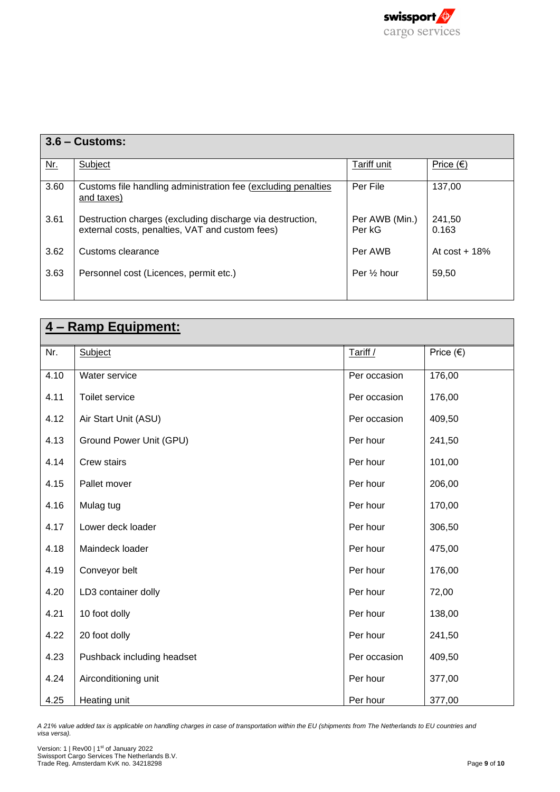

| $3.6 -$ Customs: |                                                                                                              |                          |                    |
|------------------|--------------------------------------------------------------------------------------------------------------|--------------------------|--------------------|
| <u>Nr.</u>       | Subject                                                                                                      | Tariff unit              | Price $(\epsilon)$ |
| 3.60             | Customs file handling administration fee (excluding penalties)<br>and taxes)                                 | Per File                 | 137,00             |
| 3.61             | Destruction charges (excluding discharge via destruction,<br>external costs, penalties, VAT and custom fees) | Per AWB (Min.)<br>Per kG | 241.50<br>0.163    |
| 3.62             | Customs clearance                                                                                            | Per AWB                  | At $cost + 18\%$   |
| 3.63             | Personnel cost (Licences, permit etc.)                                                                       | Per 1/ <sub>2</sub> hour | 59,50              |

| <u>4 – Ramp Equipment:</u> |                            |              |                    |
|----------------------------|----------------------------|--------------|--------------------|
| Nr.                        | Subject                    | Tariff /     | Price $(\epsilon)$ |
| 4.10                       | Water service              | Per occasion | 176,00             |
| 4.11                       | Toilet service             | Per occasion | 176,00             |
| 4.12                       | Air Start Unit (ASU)       | Per occasion | 409,50             |
| 4.13                       | Ground Power Unit (GPU)    | Per hour     | 241,50             |
| 4.14                       | Crew stairs                | Per hour     | 101,00             |
| 4.15                       | Pallet mover               | Per hour     | 206,00             |
| 4.16                       | Mulag tug                  | Per hour     | 170,00             |
| 4.17                       | Lower deck loader          | Per hour     | 306,50             |
| 4.18                       | Maindeck loader            | Per hour     | 475,00             |
| 4.19                       | Conveyor belt              | Per hour     | 176,00             |
| 4.20                       | LD3 container dolly        | Per hour     | 72,00              |
| 4.21                       | 10 foot dolly              | Per hour     | 138,00             |
| 4.22                       | 20 foot dolly              | Per hour     | 241,50             |
| 4.23                       | Pushback including headset | Per occasion | 409,50             |
| 4.24                       | Airconditioning unit       | Per hour     | 377,00             |
| 4.25                       | Heating unit               | Per hour     | 377,00             |